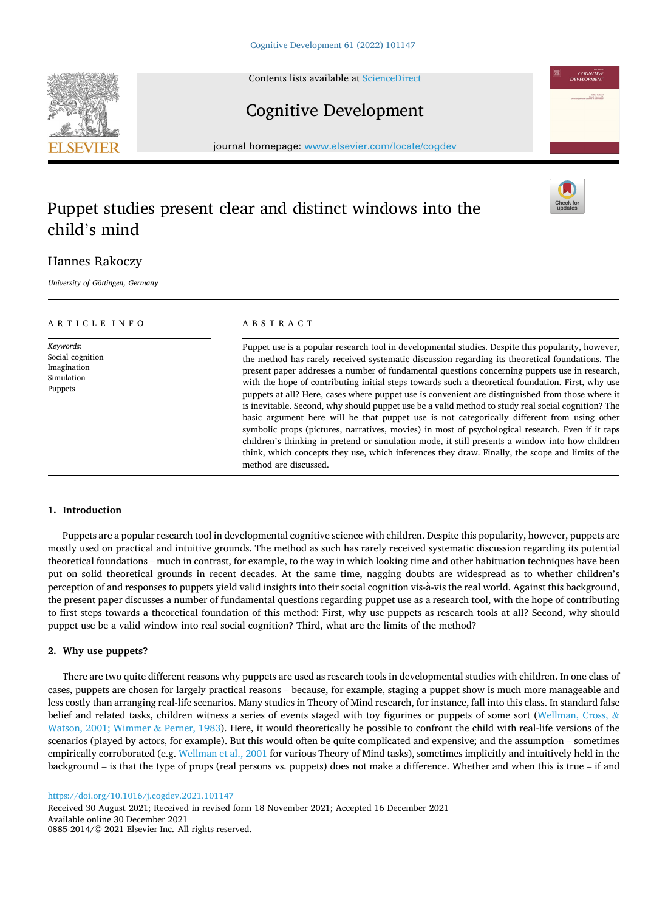Contents lists available at [ScienceDirect](www.sciencedirect.com/science/journal/08852014)

# Cognitive Development

journal homepage: [www.elsevier.com/locate/cogdev](https://www.elsevier.com/locate/cogdev)

# Puppet studies present clear and distinct windows into the child's mind

# Hannes Rakoczy

*University of Gottingen,* ¨ *Germany* 

| ARTICLE INFO                                                          | ABSTRACT                                                                                                                                                                                                                                                                                                                                                                                                                                                                                                                                                                                                                                                                                                                                                                                                                                                                                                                                                                                                                       |
|-----------------------------------------------------------------------|--------------------------------------------------------------------------------------------------------------------------------------------------------------------------------------------------------------------------------------------------------------------------------------------------------------------------------------------------------------------------------------------------------------------------------------------------------------------------------------------------------------------------------------------------------------------------------------------------------------------------------------------------------------------------------------------------------------------------------------------------------------------------------------------------------------------------------------------------------------------------------------------------------------------------------------------------------------------------------------------------------------------------------|
| Keywords:<br>Social cognition<br>Imagination<br>Simulation<br>Puppets | Puppet use is a popular research tool in developmental studies. Despite this popularity, however,<br>the method has rarely received systematic discussion regarding its theoretical foundations. The<br>present paper addresses a number of fundamental questions concerning puppets use in research,<br>with the hope of contributing initial steps towards such a theoretical foundation. First, why use<br>puppets at all? Here, cases where puppet use is convenient are distinguished from those where it<br>is inevitable. Second, why should puppet use be a valid method to study real social cognition? The<br>basic argument here will be that puppet use is not categorically different from using other<br>symbolic props (pictures, narratives, movies) in most of psychological research. Even if it taps<br>children's thinking in pretend or simulation mode, it still presents a window into how children<br>think, which concepts they use, which inferences they draw. Finally, the scope and limits of the |

# **1. Introduction**

Puppets are a popular research tool in developmental cognitive science with children. Despite this popularity, however, puppets are mostly used on practical and intuitive grounds. The method as such has rarely received systematic discussion regarding its potential theoretical foundations – much in contrast, for example, to the way in which looking time and other habituation techniques have been put on solid theoretical grounds in recent decades. At the same time, nagging doubts are widespread as to whether children's perception of and responses to puppets yield valid insights into their social cognition vis-à-vis the real world. Against this background, the present paper discusses a number of fundamental questions regarding puppet use as a research tool, with the hope of contributing to first steps towards a theoretical foundation of this method: First, why use puppets as research tools at all? Second, why should puppet use be a valid window into real social cognition? Third, what are the limits of the method?

# **2. Why use puppets?**

There are two quite different reasons why puppets are used as research tools in developmental studies with children. In one class of cases, puppets are chosen for largely practical reasons – because, for example, staging a puppet show is much more manageable and less costly than arranging real-life scenarios. Many studies in Theory of Mind research, for instance, fall into this class. In standard false belief and related tasks, children witness a series of events staged with toy figurines or puppets of some sort [\(Wellman, Cross,](#page-6-0) & [Watson, 2001; Wimmer](#page-6-0) & Perner, 1983). Here, it would theoretically be possible to confront the child with real-life versions of the scenarios (played by actors, for example). But this would often be quite complicated and expensive; and the assumption – sometimes empirically corroborated (e.g. [Wellman et al., 2001](#page-6-0) for various Theory of Mind tasks), sometimes implicitly and intuitively held in the background – is that the type of props (real persons vs. puppets) does not make a difference. Whether and when this is true – if and

<https://doi.org/10.1016/j.cogdev.2021.101147>

Available online 30 December 2021 0885-2014/© 2021 Elsevier Inc. All rights reserved. Received 30 August 2021; Received in revised form 18 November 2021; Accepted 16 December 2021





method are discussed.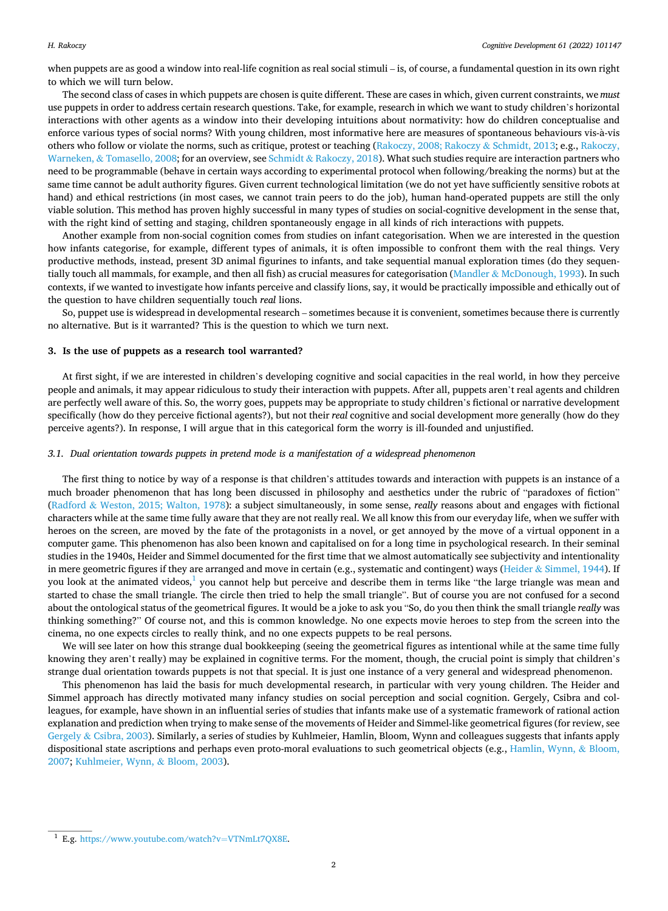when puppets are as good a window into real-life cognition as real social stimuli – is, of course, a fundamental question in its own right to which we will turn below.

The second class of cases in which puppets are chosen is quite different. These are cases in which, given current constraints, we *must*  use puppets in order to address certain research questions. Take, for example, research in which we want to study children's horizontal interactions with other agents as a window into their developing intuitions about normativity: how do children conceptualise and enforce various types of social norms? With young children, most informative here are measures of spontaneous behaviours vis-à-vis others who follow or violate the norms, such as critique, protest or teaching ([Rakoczy, 2008; Rakoczy](#page-6-0) & Schmidt, 2013; e.g., [Rakoczy,](#page-6-0) Warneken, & [Tomasello, 2008](#page-6-0); for an overview, see Schmidt & [Rakoczy, 2018\)](#page-6-0). What such studies require are interaction partners who need to be programmable (behave in certain ways according to experimental protocol when following/breaking the norms) but at the same time cannot be adult authority figures. Given current technological limitation (we do not yet have sufficiently sensitive robots at hand) and ethical restrictions (in most cases, we cannot train peers to do the job), human hand-operated puppets are still the only viable solution. This method has proven highly successful in many types of studies on social-cognitive development in the sense that, with the right kind of setting and staging, children spontaneously engage in all kinds of rich interactions with puppets.

Another example from non-social cognition comes from studies on infant categorisation. When we are interested in the question how infants categorise, for example, different types of animals, it is often impossible to confront them with the real things. Very productive methods, instead, present 3D animal figurines to infants, and take sequential manual exploration times (do they sequentially touch all mammals, for example, and then all fish) as crucial measures for categorisation (Mandler & [McDonough, 1993](#page-5-0)). In such contexts, if we wanted to investigate how infants perceive and classify lions, say, it would be practically impossible and ethically out of the question to have children sequentially touch *real* lions.

So, puppet use is widespread in developmental research – sometimes because it is convenient, sometimes because there is currently no alternative. But is it warranted? This is the question to which we turn next.

#### **3. Is the use of puppets as a research tool warranted?**

At first sight, if we are interested in children's developing cognitive and social capacities in the real world, in how they perceive people and animals, it may appear ridiculous to study their interaction with puppets. After all, puppets aren't real agents and children are perfectly well aware of this. So, the worry goes, puppets may be appropriate to study children's fictional or narrative development specifically (how do they perceive fictional agents?), but not their *real* cognitive and social development more generally (how do they perceive agents?). In response, I will argue that in this categorical form the worry is ill-founded and unjustified.

#### *3.1. Dual orientation towards puppets in pretend mode is a manifestation of a widespread phenomenon*

The first thing to notice by way of a response is that children's attitudes towards and interaction with puppets is an instance of a much broader phenomenon that has long been discussed in philosophy and aesthetics under the rubric of "paradoxes of fiction" (Radford & [Weston, 2015; Walton, 1978\)](#page-6-0): a subject simultaneously, in some sense, *really* reasons about and engages with fictional characters while at the same time fully aware that they are not really real. We all know this from our everyday life, when we suffer with heroes on the screen, are moved by the fate of the protagonists in a novel, or get annoyed by the move of a virtual opponent in a computer game. This phenomenon has also been known and capitalised on for a long time in psychological research. In their seminal studies in the 1940s, Heider and Simmel documented for the first time that we almost automatically see subjectivity and intentionality in mere geometric figures if they are arranged and move in certain (e.g., systematic and contingent) ways (Heider & [Simmel, 1944\)](#page-5-0). If you look at the animated videos, $\frac{1}{2}$  you cannot help but perceive and describe them in terms like "the large triangle was mean and started to chase the small triangle. The circle then tried to help the small triangle". But of course you are not confused for a second about the ontological status of the geometrical figures. It would be a joke to ask you "So, do you then think the small triangle *really* was thinking something?" Of course not, and this is common knowledge. No one expects movie heroes to step from the screen into the cinema, no one expects circles to really think, and no one expects puppets to be real persons.

We will see later on how this strange dual bookkeeping (seeing the geometrical figures as intentional while at the same time fully knowing they aren't really) may be explained in cognitive terms. For the moment, though, the crucial point is simply that children's strange dual orientation towards puppets is not that special. It is just one instance of a very general and widespread phenomenon.

This phenomenon has laid the basis for much developmental research, in particular with very young children. The Heider and Simmel approach has directly motivated many infancy studies on social perception and social cognition. Gergely, Csibra and colleagues, for example, have shown in an influential series of studies that infants make use of a systematic framework of rational action explanation and prediction when trying to make sense of the movements of Heider and Simmel-like geometrical figures (for review, see Gergely & [Csibra, 2003\)](#page-5-0). Similarly, a series of studies by Kuhlmeier, Hamlin, Bloom, Wynn and colleagues suggests that infants apply dispositional state ascriptions and perhaps even proto-moral evaluations to such geometrical objects (e.g., [Hamlin, Wynn,](#page-5-0) & Bloom, [2007;](#page-5-0) [Kuhlmeier, Wynn,](#page-5-0) & Bloom, 2003).

<sup>1</sup> E.g. [https://www.youtube.com/watch?v](https://www.youtube.com/watch?v=VTNmLt7QX8E)=VTNmLt7QX8E.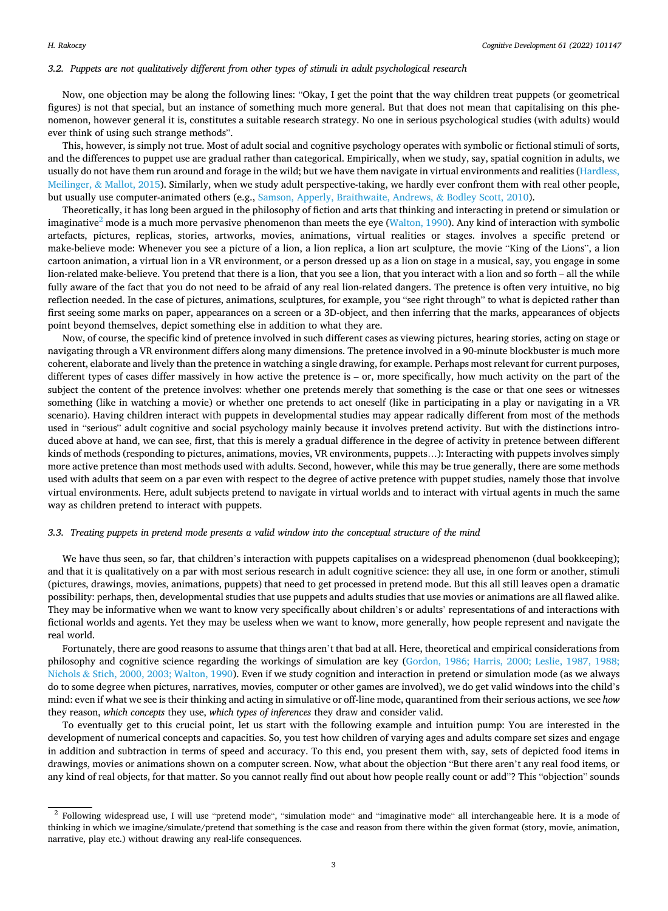#### *3.2. Puppets are not qualitatively different from other types of stimuli in adult psychological research*

Now, one objection may be along the following lines: "Okay, I get the point that the way children treat puppets (or geometrical figures) is not that special, but an instance of something much more general. But that does not mean that capitalising on this phenomenon, however general it is, constitutes a suitable research strategy. No one in serious psychological studies (with adults) would ever think of using such strange methods".

This, however, is simply not true. Most of adult social and cognitive psychology operates with symbolic or fictional stimuli of sorts, and the differences to puppet use are gradual rather than categorical. Empirically, when we study, say, spatial cognition in adults, we usually do not have them run around and forage in the wild; but we have them navigate in virtual environments and realities ([Hardless,](#page-5-0) Meilinger, & [Mallot, 2015\)](#page-5-0). Similarly, when we study adult perspective-taking, we hardly ever confront them with real other people, but usually use computer-animated others (e.g., [Samson, Apperly, Braithwaite, Andrews,](#page-6-0) & Bodley Scott, 2010).

Theoretically, it has long been argued in the philosophy of fiction and arts that thinking and interacting in pretend or simulation or imaginative<sup>2</sup> mode is a much more pervasive phenomenon than meets the eye [\(Walton, 1990](#page-6-0)). Any kind of interaction with symbolic artefacts, pictures, replicas, stories, artworks, movies, animations, virtual realities or stages. involves a specific pretend or make-believe mode: Whenever you see a picture of a lion, a lion replica, a lion art sculpture, the movie "King of the Lions", a lion cartoon animation, a virtual lion in a VR environment, or a person dressed up as a lion on stage in a musical, say, you engage in some lion-related make-believe. You pretend that there is a lion, that you see a lion, that you interact with a lion and so forth – all the while fully aware of the fact that you do not need to be afraid of any real lion-related dangers. The pretence is often very intuitive, no big reflection needed. In the case of pictures, animations, sculptures, for example, you "see right through" to what is depicted rather than first seeing some marks on paper, appearances on a screen or a 3D-object, and then inferring that the marks, appearances of objects point beyond themselves, depict something else in addition to what they are.

Now, of course, the specific kind of pretence involved in such different cases as viewing pictures, hearing stories, acting on stage or navigating through a VR environment differs along many dimensions. The pretence involved in a 90-minute blockbuster is much more coherent, elaborate and lively than the pretence in watching a single drawing, for example. Perhaps most relevant for current purposes, different types of cases differ massively in how active the pretence is – or, more specifically, how much activity on the part of the subject the content of the pretence involves: whether one pretends merely that something is the case or that one sees or witnesses something (like in watching a movie) or whether one pretends to act oneself (like in participating in a play or navigating in a VR scenario). Having children interact with puppets in developmental studies may appear radically different from most of the methods used in "serious" adult cognitive and social psychology mainly because it involves pretend activity. But with the distinctions introduced above at hand, we can see, first, that this is merely a gradual difference in the degree of activity in pretence between different kinds of methods (responding to pictures, animations, movies, VR environments, puppets…): Interacting with puppets involves simply more active pretence than most methods used with adults. Second, however, while this may be true generally, there are some methods used with adults that seem on a par even with respect to the degree of active pretence with puppet studies, namely those that involve virtual environments. Here, adult subjects pretend to navigate in virtual worlds and to interact with virtual agents in much the same way as children pretend to interact with puppets.

## *3.3. Treating puppets in pretend mode presents a valid window into the conceptual structure of the mind*

We have thus seen, so far, that children's interaction with puppets capitalises on a widespread phenomenon (dual bookkeeping); and that it is qualitatively on a par with most serious research in adult cognitive science: they all use, in one form or another, stimuli (pictures, drawings, movies, animations, puppets) that need to get processed in pretend mode. But this all still leaves open a dramatic possibility: perhaps, then, developmental studies that use puppets and adults studies that use movies or animations are all flawed alike. They may be informative when we want to know very specifically about children's or adults' representations of and interactions with fictional worlds and agents. Yet they may be useless when we want to know, more generally, how people represent and navigate the real world.

Fortunately, there are good reasons to assume that things aren't that bad at all. Here, theoretical and empirical considerations from philosophy and cognitive science regarding the workings of simulation are key [\(Gordon, 1986; Harris, 2000; Leslie, 1987, 1988;](#page-5-0) Nichols & [Stich, 2000, 2003; Walton, 1990\)](#page-5-0). Even if we study cognition and interaction in pretend or simulation mode (as we always do to some degree when pictures, narratives, movies, computer or other games are involved), we do get valid windows into the child's mind: even if what we see is their thinking and acting in simulative or off-line mode, quarantined from their serious actions, we see *how*  they reason, *which concepts* they use, *which types of inferences* they draw and consider valid.

To eventually get to this crucial point, let us start with the following example and intuition pump: You are interested in the development of numerical concepts and capacities. So, you test how children of varying ages and adults compare set sizes and engage in addition and subtraction in terms of speed and accuracy. To this end, you present them with, say, sets of depicted food items in drawings, movies or animations shown on a computer screen. Now, what about the objection "But there aren't any real food items, or any kind of real objects, for that matter. So you cannot really find out about how people really count or add"? This "objection" sounds

<sup>&</sup>lt;sup>2</sup> Following widespread use, I will use "pretend mode", "simulation mode" and "imaginative mode" all interchangeable here. It is a mode of thinking in which we imagine/simulate/pretend that something is the case and reason from there within the given format (story, movie, animation, narrative, play etc.) without drawing any real-life consequences.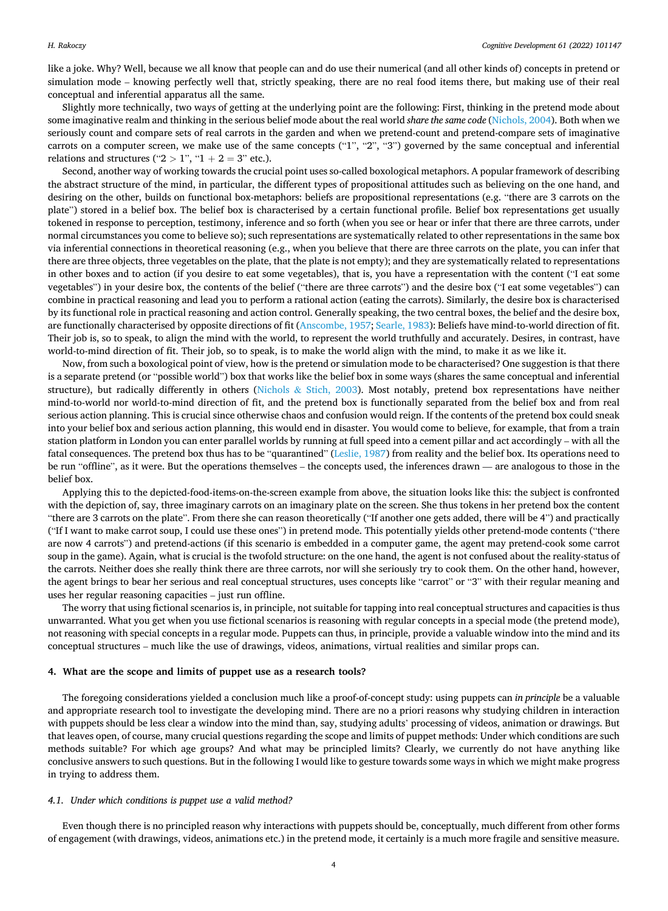like a joke. Why? Well, because we all know that people can and do use their numerical (and all other kinds of) concepts in pretend or simulation mode – knowing perfectly well that, strictly speaking, there are no real food items there, but making use of their real conceptual and inferential apparatus all the same.

Slightly more technically, two ways of getting at the underlying point are the following: First, thinking in the pretend mode about some imaginative realm and thinking in the serious belief mode about the real world *share the same code* [\(Nichols, 2004](#page-5-0)). Both when we seriously count and compare sets of real carrots in the garden and when we pretend-count and pretend-compare sets of imaginative carrots on a computer screen, we make use of the same concepts ("1", "2", "3") governed by the same conceptual and inferential relations and structures (" $2 > 1$ ", " $1 + 2 = 3$ " etc.).

Second, another way of working towards the crucial point uses so-called boxological metaphors. A popular framework of describing the abstract structure of the mind, in particular, the different types of propositional attitudes such as believing on the one hand, and desiring on the other, builds on functional box-metaphors: beliefs are propositional representations (e.g. "there are 3 carrots on the plate") stored in a belief box. The belief box is characterised by a certain functional profile. Belief box representations get usually tokened in response to perception, testimony, inference and so forth (when you see or hear or infer that there are three carrots, under normal circumstances you come to believe so); such representations are systematically related to other representations in the same box via inferential connections in theoretical reasoning (e.g., when you believe that there are three carrots on the plate, you can infer that there are three objects, three vegetables on the plate, that the plate is not empty); and they are systematically related to representations in other boxes and to action (if you desire to eat some vegetables), that is, you have a representation with the content ("I eat some vegetables") in your desire box, the contents of the belief ("there are three carrots") and the desire box ("I eat some vegetables") can combine in practical reasoning and lead you to perform a rational action (eating the carrots). Similarly, the desire box is characterised by its functional role in practical reasoning and action control. Generally speaking, the two central boxes, the belief and the desire box, are functionally characterised by opposite directions of fit [\(Anscombe, 1957;](#page-5-0) [Searle, 1983](#page-6-0)): Beliefs have mind-to-world direction of fit. Their job is, so to speak, to align the mind with the world, to represent the world truthfully and accurately. Desires, in contrast, have world-to-mind direction of fit. Their job, so to speak, is to make the world align with the mind, to make it as we like it.

Now, from such a boxological point of view, how is the pretend or simulation mode to be characterised? One suggestion is that there is a separate pretend (or "possible world") box that works like the belief box in some ways (shares the same conceptual and inferential structure), but radically differently in others (Nichols & [Stich, 2003](#page-5-0)). Most notably, pretend box representations have neither mind-to-world nor world-to-mind direction of fit, and the pretend box is functionally separated from the belief box and from real serious action planning. This is crucial since otherwise chaos and confusion would reign. If the contents of the pretend box could sneak into your belief box and serious action planning, this would end in disaster. You would come to believe, for example, that from a train station platform in London you can enter parallel worlds by running at full speed into a cement pillar and act accordingly – with all the fatal consequences. The pretend box thus has to be "quarantined" ([Leslie, 1987\)](#page-5-0) from reality and the belief box. Its operations need to be run "offline", as it were. But the operations themselves – the concepts used, the inferences drawn — are analogous to those in the belief box.

Applying this to the depicted-food-items-on-the-screen example from above, the situation looks like this: the subject is confronted with the depiction of, say, three imaginary carrots on an imaginary plate on the screen. She thus tokens in her pretend box the content "there are 3 carrots on the plate". From there she can reason theoretically ("If another one gets added, there will be 4") and practically ("If I want to make carrot soup, I could use these ones") in pretend mode. This potentially yields other pretend-mode contents ("there are now 4 carrots") and pretend-actions (if this scenario is embedded in a computer game, the agent may pretend-cook some carrot soup in the game). Again, what is crucial is the twofold structure: on the one hand, the agent is not confused about the reality-status of the carrots. Neither does she really think there are three carrots, nor will she seriously try to cook them. On the other hand, however, the agent brings to bear her serious and real conceptual structures, uses concepts like "carrot" or "3" with their regular meaning and uses her regular reasoning capacities – just run offline.

The worry that using fictional scenarios is, in principle, not suitable for tapping into real conceptual structures and capacities is thus unwarranted. What you get when you use fictional scenarios is reasoning with regular concepts in a special mode (the pretend mode), not reasoning with special concepts in a regular mode. Puppets can thus, in principle, provide a valuable window into the mind and its conceptual structures – much like the use of drawings, videos, animations, virtual realities and similar props can.

## **4. What are the scope and limits of puppet use as a research tools?**

The foregoing considerations yielded a conclusion much like a proof-of-concept study: using puppets can *in principle* be a valuable and appropriate research tool to investigate the developing mind. There are no a priori reasons why studying children in interaction with puppets should be less clear a window into the mind than, say, studying adults' processing of videos, animation or drawings. But that leaves open, of course, many crucial questions regarding the scope and limits of puppet methods: Under which conditions are such methods suitable? For which age groups? And what may be principled limits? Clearly, we currently do not have anything like conclusive answers to such questions. But in the following I would like to gesture towards some ways in which we might make progress in trying to address them.

#### *4.1. Under which conditions is puppet use a valid method?*

Even though there is no principled reason why interactions with puppets should be, conceptually, much different from other forms of engagement (with drawings, videos, animations etc.) in the pretend mode, it certainly is a much more fragile and sensitive measure.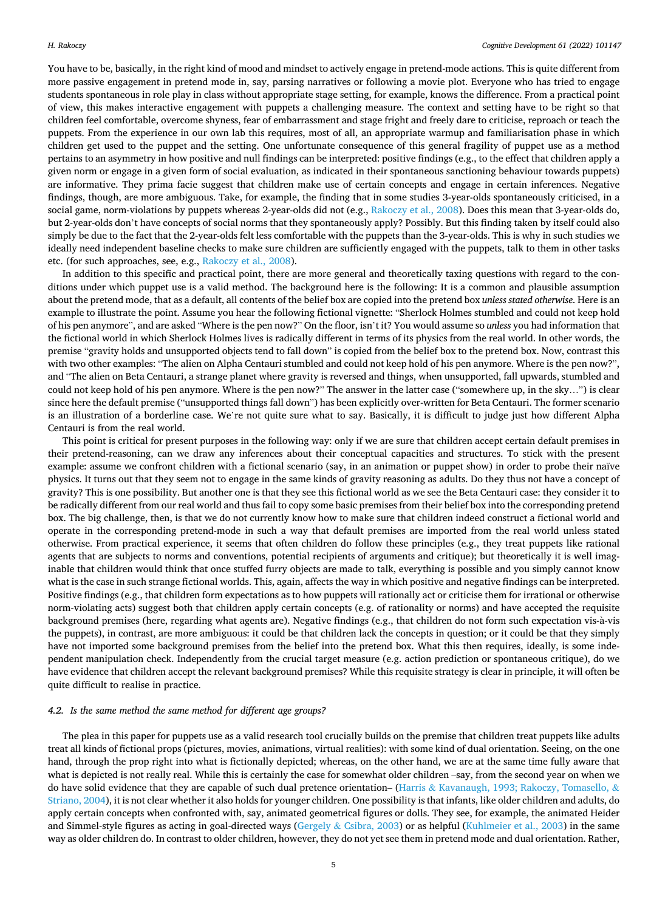You have to be, basically, in the right kind of mood and mindset to actively engage in pretend-mode actions. This is quite different from more passive engagement in pretend mode in, say, parsing narratives or following a movie plot. Everyone who has tried to engage students spontaneous in role play in class without appropriate stage setting, for example, knows the difference. From a practical point of view, this makes interactive engagement with puppets a challenging measure. The context and setting have to be right so that children feel comfortable, overcome shyness, fear of embarrassment and stage fright and freely dare to criticise, reproach or teach the puppets. From the experience in our own lab this requires, most of all, an appropriate warmup and familiarisation phase in which children get used to the puppet and the setting. One unfortunate consequence of this general fragility of puppet use as a method pertains to an asymmetry in how positive and null findings can be interpreted: positive findings (e.g., to the effect that children apply a given norm or engage in a given form of social evaluation, as indicated in their spontaneous sanctioning behaviour towards puppets) are informative. They prima facie suggest that children make use of certain concepts and engage in certain inferences. Negative findings, though, are more ambiguous. Take, for example, the finding that in some studies 3-year-olds spontaneously criticised, in a social game, norm-violations by puppets whereas 2-year-olds did not (e.g., [Rakoczy et al., 2008\)](#page-6-0). Does this mean that 3-year-olds do, but 2-year-olds don't have concepts of social norms that they spontaneously apply? Possibly. But this finding taken by itself could also simply be due to the fact that the 2-year-olds felt less comfortable with the puppets than the 3-year-olds. This is why in such studies we ideally need independent baseline checks to make sure children are sufficiently engaged with the puppets, talk to them in other tasks etc. (for such approaches, see, e.g., [Rakoczy et al., 2008](#page-6-0)).

In addition to this specific and practical point, there are more general and theoretically taxing questions with regard to the conditions under which puppet use is a valid method. The background here is the following: It is a common and plausible assumption about the pretend mode, that as a default, all contents of the belief box are copied into the pretend box *unless stated otherwise*. Here is an example to illustrate the point. Assume you hear the following fictional vignette: "Sherlock Holmes stumbled and could not keep hold of his pen anymore", and are asked "Where is the pen now?" On the floor, isn't it? You would assume so *unless* you had information that the fictional world in which Sherlock Holmes lives is radically different in terms of its physics from the real world. In other words, the premise "gravity holds and unsupported objects tend to fall down" is copied from the belief box to the pretend box. Now, contrast this with two other examples: "The alien on Alpha Centauri stumbled and could not keep hold of his pen anymore. Where is the pen now?", and "The alien on Beta Centauri, a strange planet where gravity is reversed and things, when unsupported, fall upwards, stumbled and could not keep hold of his pen anymore. Where is the pen now?" The answer in the latter case ("somewhere up, in the sky…") is clear since here the default premise ("unsupported things fall down") has been explicitly over-written for Beta Centauri. The former scenario is an illustration of a borderline case. We're not quite sure what to say. Basically, it is difficult to judge just how different Alpha Centauri is from the real world.

This point is critical for present purposes in the following way: only if we are sure that children accept certain default premises in their pretend-reasoning, can we draw any inferences about their conceptual capacities and structures. To stick with the present example: assume we confront children with a fictional scenario (say, in an animation or puppet show) in order to probe their naïve physics. It turns out that they seem not to engage in the same kinds of gravity reasoning as adults. Do they thus not have a concept of gravity? This is one possibility. But another one is that they see this fictional world as we see the Beta Centauri case: they consider it to be radically different from our real world and thus fail to copy some basic premises from their belief box into the corresponding pretend box. The big challenge, then, is that we do not currently know how to make sure that children indeed construct a fictional world and operate in the corresponding pretend-mode in such a way that default premises are imported from the real world unless stated otherwise. From practical experience, it seems that often children do follow these principles (e.g., they treat puppets like rational agents that are subjects to norms and conventions, potential recipients of arguments and critique); but theoretically it is well imaginable that children would think that once stuffed furry objects are made to talk, everything is possible and you simply cannot know what is the case in such strange fictional worlds. This, again, affects the way in which positive and negative findings can be interpreted. Positive findings (e.g., that children form expectations as to how puppets will rationally act or criticise them for irrational or otherwise norm-violating acts) suggest both that children apply certain concepts (e.g. of rationality or norms) and have accepted the requisite background premises (here, regarding what agents are). Negative findings (e.g., that children do not form such expectation vis-à-vis the puppets), in contrast, are more ambiguous: it could be that children lack the concepts in question; or it could be that they simply have not imported some background premises from the belief into the pretend box. What this then requires, ideally, is some independent manipulation check. Independently from the crucial target measure (e.g. action prediction or spontaneous critique), do we have evidence that children accept the relevant background premises? While this requisite strategy is clear in principle, it will often be quite difficult to realise in practice.

# *4.2. Is the same method the same method for different age groups?*

The plea in this paper for puppets use as a valid research tool crucially builds on the premise that children treat puppets like adults treat all kinds of fictional props (pictures, movies, animations, virtual realities): with some kind of dual orientation. Seeing, on the one hand, through the prop right into what is fictionally depicted; whereas, on the other hand, we are at the same time fully aware that what is depicted is not really real. While this is certainly the case for somewhat older children –say, from the second year on when we do have solid evidence that they are capable of such dual pretence orientation– (Harris & [Kavanaugh, 1993; Rakoczy, Tomasello,](#page-5-0) & [Striano, 2004](#page-5-0)), it is not clear whether it also holds for younger children. One possibility is that infants, like older children and adults, do apply certain concepts when confronted with, say, animated geometrical figures or dolls. They see, for example, the animated Heider and Simmel-style figures as acting in goal-directed ways (Gergely & [Csibra, 2003](#page-5-0)) or as helpful [\(Kuhlmeier et al., 2003](#page-5-0)) in the same way as older children do. In contrast to older children, however, they do not yet see them in pretend mode and dual orientation. Rather,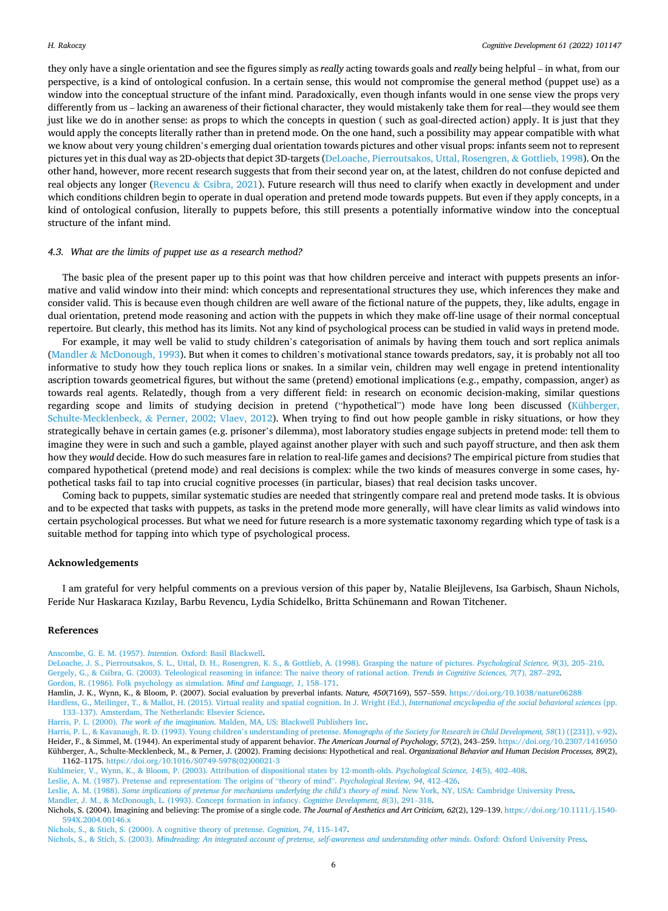<span id="page-5-0"></span>they only have a single orientation and see the figures simply as *really* acting towards goals and *really* being helpful – in what, from our perspective, is a kind of ontological confusion. In a certain sense, this would not compromise the general method (puppet use) as a window into the conceptual structure of the infant mind. Paradoxically, even though infants would in one sense view the props very differently from us – lacking an awareness of their fictional character, they would mistakenly take them for real—they would see them just like we do in another sense: as props to which the concepts in question ( such as goal-directed action) apply. It is just that they would apply the concepts literally rather than in pretend mode. On the one hand, such a possibility may appear compatible with what we know about very young children's emerging dual orientation towards pictures and other visual props: infants seem not to represent pictures yet in this dual way as 2D-objects that depict 3D-targets (DeLoache, Pierroutsakos, Uttal, Rosengren, & Gottlieb, 1998). On the other hand, however, more recent research suggests that from their second year on, at the latest, children do not confuse depicted and real objects any longer (Revencu & [Csibra, 2021\)](#page-6-0). Future research will thus need to clarify when exactly in development and under which conditions children begin to operate in dual operation and pretend mode towards puppets. But even if they apply concepts, in a kind of ontological confusion, literally to puppets before, this still presents a potentially informative window into the conceptual structure of the infant mind.

#### *4.3. What are the limits of puppet use as a research method?*

The basic plea of the present paper up to this point was that how children perceive and interact with puppets presents an informative and valid window into their mind: which concepts and representational structures they use, which inferences they make and consider valid. This is because even though children are well aware of the fictional nature of the puppets, they, like adults, engage in dual orientation, pretend mode reasoning and action with the puppets in which they make off-line usage of their normal conceptual repertoire. But clearly, this method has its limits. Not any kind of psychological process can be studied in valid ways in pretend mode.

For example, it may well be valid to study children's categorisation of animals by having them touch and sort replica animals (Mandler & McDonough, 1993). But when it comes to children's motivational stance towards predators, say, it is probably not all too informative to study how they touch replica lions or snakes. In a similar vein, children may well engage in pretend intentionality ascription towards geometrical figures, but without the same (pretend) emotional implications (e.g., empathy, compassion, anger) as towards real agents. Relatedly, though from a very different field: in research on economic decision-making, similar questions regarding scope and limits of studying decision in pretend ("hypothetical") mode have long been discussed (Kühberger, Schulte-Mecklenbeck, & Perner, 2002; Vlaev, 2012). When trying to find out how people gamble in risky situations, or how they strategically behave in certain games (e.g. prisoner's dilemma), most laboratory studies engage subjects in pretend mode: tell them to imagine they were in such and such a gamble, played against another player with such and such payoff structure, and then ask them how they *would* decide. How do such measures fare in relation to real-life games and decisions? The empirical picture from studies that compared hypothetical (pretend mode) and real decisions is complex: while the two kinds of measures converge in some cases, hypothetical tasks fail to tap into crucial cognitive processes (in particular, biases) that real decision tasks uncover.

Coming back to puppets, similar systematic studies are needed that stringently compare real and pretend mode tasks. It is obvious and to be expected that tasks with puppets, as tasks in the pretend mode more generally, will have clear limits as valid windows into certain psychological processes. But what we need for future research is a more systematic taxonomy regarding which type of task is a suitable method for tapping into which type of psychological process.

## **Acknowledgements**

I am grateful for very helpful comments on a previous version of this paper by, Natalie Bleijlevens, Isa Garbisch, Shaun Nichols, Feride Nur Haskaraca Kızılay, Barbu Revencu, Lydia Schidelko, Britta Schünemann and Rowan Titchener.

#### **References**

[Anscombe, G. E. M. \(1957\).](http://refhub.elsevier.com/S0885-2014(21)00142-8/sbref1) *Intention*. Oxford: Basil Blackwell.

[DeLoache, J. S., Pierroutsakos, S. L., Uttal, D. H., Rosengren, K. S., & Gottlieb, A. \(1998\). Grasping the nature of pictures.](http://refhub.elsevier.com/S0885-2014(21)00142-8/sbref2) *Psychological Science, 9*(3), 205–210. [Gergely, G., & Csibra, G. \(2003\). Teleological reasoning in infance: The naive theory of rational action.](http://refhub.elsevier.com/S0885-2014(21)00142-8/sbref3) *Trends in Cognitive Sciences, 7*(7), 287–292. [Gordon, R. \(1986\). Folk psychology as simulation.](http://refhub.elsevier.com/S0885-2014(21)00142-8/sbref4) *Mind and Language, 1*, 158–171.

Hamlin, J. K., Wynn, K., & Bloom, P. (2007). Social evaluation by preverbal infants. *Nature, 450*(7169), 557-559.<https://doi.org/10.1038/nature06288>

[Hardless, G., Meilinger, T., & Mallot, H. \(2015\). Virtual reality and spatial cognition. In J. Wright \(Ed.\),](http://refhub.elsevier.com/S0885-2014(21)00142-8/sbref6) *International encyclopedia of the social behavioral sciences* (pp. 133–[137\). Amsterdam, The Netherlands: Elsevier Science](http://refhub.elsevier.com/S0885-2014(21)00142-8/sbref6).

Harris, P. L. (2000). *The work of the imagination*[. Malden, MA, US: Blackwell Publishers Inc](http://refhub.elsevier.com/S0885-2014(21)00142-8/sbref7).

Harris, P. L., & Kavanaugh, R. D. (1993). Young children's understanding of pretense. *[Monographs of the Society for Research in Child Development, 58](http://refhub.elsevier.com/S0885-2014(21)00142-8/sbref8)*(1) ([231]), v-92). Heider, F., & Simmel, M. (1944). An experimental study of apparent behavior. *The American Journal of Psychology, 57*(2), 243–259.<https://doi.org/10.2307/1416950>

Kühberger, A., Schulte-Mecklenbeck, M., & Perner, J. (2002). Framing decisions: Hypothetical and real. *Organizational Behavior and Human Decision Processes, 89*(2), 1162–1175. [https://doi.org/10.1016/S0749-5978\(02\)00021-3](https://doi.org/10.1016/S0749-5978(02)00021-3) [Kuhlmeier, V., Wynn, K., & Bloom, P. \(2003\). Attribution of dispositional states by 12-month-olds.](http://refhub.elsevier.com/S0885-2014(21)00142-8/sbref11) *Psychological Science, 14*(5), 402–408.

[Leslie, A. M. \(1987\). Pretense and representation: The origins of](http://refhub.elsevier.com/S0885-2014(21)00142-8/sbref12) "theory of mind". *Psychological Review, 94*, 412–426.

Leslie, A. M. (1988). *[Some implications of pretense for mechanisms underlying the child](http://refhub.elsevier.com/S0885-2014(21)00142-8/sbref13)'s theory of mind*. New York, NY, USA: Cambridge University Press. [Mandler, J. M., & McDonough, L. \(1993\). Concept formation in infancy.](http://refhub.elsevier.com/S0885-2014(21)00142-8/sbref14) *Cognitive Development, 8*(3), 291–318.

Nichols, S. (2004). Imagining and believing: The promise of a single code. *The Journal of Aesthetics and Art Criticism, 62*(2), 129–139. [https://doi.org/10.1111/j.1540-](https://doi.org/10.1111/j.1540-594X.2004.00146.x) [594X.2004.00146.x](https://doi.org/10.1111/j.1540-594X.2004.00146.x) 

[Nichols, S., & Stich, S. \(2000\). A cognitive theory of pretense.](http://refhub.elsevier.com/S0885-2014(21)00142-8/sbref16) *Cognition, 74*, 115–147.

Nichols, S., & Stich, S. (2003). *[Mindreading: An integrated account of pretense, self-awareness and understanding other minds](http://refhub.elsevier.com/S0885-2014(21)00142-8/sbref17)*. Oxford: Oxford University Press.